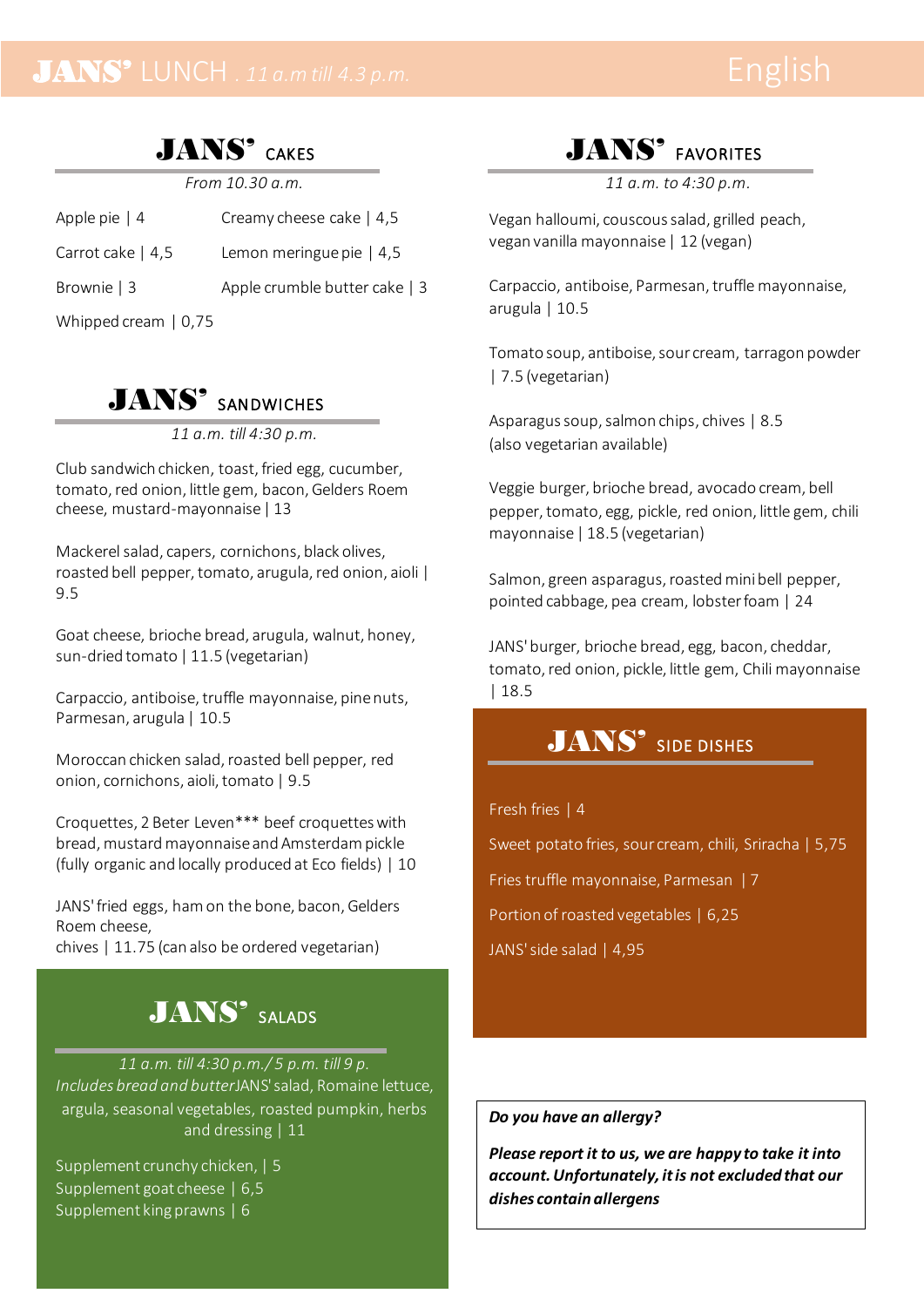## JANS' CAKES

*From 10.30 a.m.*

Apple pie | 4 Creamy cheese cake | 4,5 Carrot cake | 4,5 Lemon meringue pie | 4,5 Brownie | 3 Apple crumble butter cake | 3 Whipped cream | 0,75

## JANS' SANDWICHES

*11 a.m. till 4:30 p.m.*

Club sandwich chicken, toast, fried egg, cucumber, tomato, red onion, little gem, bacon, Gelders Roem cheese, mustard-mayonnaise | 13

Mackerel salad, capers, cornichons, black olives, roasted bell pepper, tomato, arugula, red onion, aioli | 9.5

Goat cheese, brioche bread, arugula, walnut, honey, sun-dried tomato | 11.5 (vegetarian)

Carpaccio, antiboise, truffle mayonnaise, pine nuts, Parmesan, arugula | 10.5

Moroccan chicken salad, roasted bell pepper, red onion, cornichons, aioli, tomato | 9.5

Croquettes, 2 Beter Leven\*\*\* beef croquettes with bread, mustard mayonnaise and Amsterdam pickle (fully organic and locally produced at Eco fields) | 10

JANS' fried eggs, ham on the bone, bacon, Gelders Roem cheese,

chives | 11.75 (can also be ordered vegetarian)

## JANS' SALADS

*11 a.m. till 4:30 p.m./ 5 p.m. till 9 p. Includes bread and butter*JANS'salad, Romaine lettuce, argula, seasonal vegetables, roasted pumpkin, herbs and dressing | 11

Supplement crunchy chicken, | 5 Supplement goat cheese | 6,5 Supplement king prawns | 6

## JANS' FAVORITES

*11 a.m. to 4:30 p.m.*

Vegan halloumi, couscous salad, grilled peach, vegan vanilla mayonnaise | 12 (vegan)

Carpaccio, antiboise, Parmesan, truffle mayonnaise, arugula | 10.5

Tomato soup, antiboise, sour cream, tarragon powder | 7.5 (vegetarian)

Asparagus soup, salmon chips, chives | 8.5 (also vegetarian available)

Veggie burger, brioche bread, avocado cream, bell pepper, tomato, egg, pickle, red onion, little gem, chili mayonnaise | 18.5 (vegetarian)

Salmon, green asparagus, roasted mini bell pepper, pointed cabbage, pea cream, lobster foam | 24

JANS' burger, brioche bread, egg, bacon, cheddar, tomato, red onion, pickle, little gem, Chili mayonnaise | 18.5

## JANS<sup>'</sup> SIDE DISHES

### Fresh fries | 4

Sweet potato fries, sour cream, chili, Sriracha | 5,75

Fries truffle mayonnaise, Parmesan | 7

Portion of roasted vegetables | 6,25

JANS' side salad | 4,95

### *Do you have an allergy?*

*Please report it to us, we are happy to take it into account. Unfortunately, it is not excluded that our dishes contain allergens*